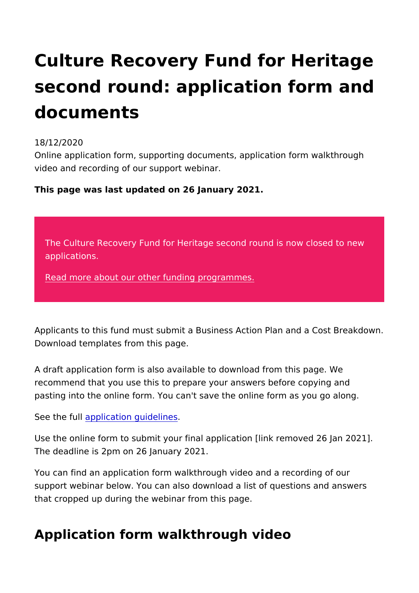## Culture Recovery Fund for Herit second round: application form documents

## 18/12/2020

Online application form, supporting documents, application form video and recording of our support webinar.

This page was last updated on 26 January 2021.

The Culture Recovery Fund for Heritage second round is applications.

[Read more about our other funding](https://www.heritagefund.org.uk/funding) programmes.

Applicants to this fund must submit a Business Action Plan and Download templates from this page.

A draft application form is also available to download from this recommend that you use this to prepare your answers before co pasting into the online form. You can't save the online form as

See the fauply lication guidelines

Use the online form to submit your final application [link remov The deadline is 2pm on 26 January 2021.

You can find an application form walkthrough video and a recor support webinar below. You can also download a list of question that cropped up during the webinar from this page.

## Application form walkthrough video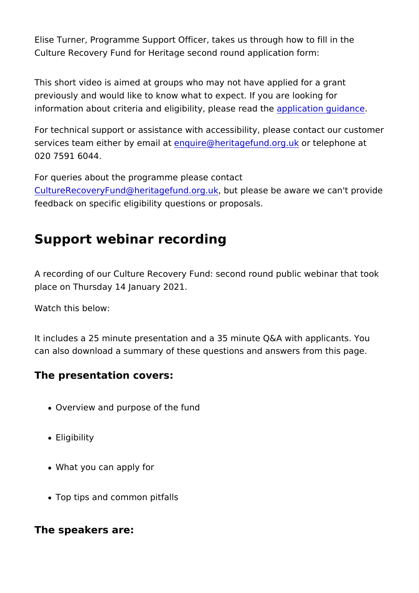Elise Turner, Programme Support Officer, takes us through how Culture Recovery Fund for Heritage second round application fo

This short video is aimed at groups who may not have applied f previously and would like to know what to expect. If you are loo information about criteria and eligibility apple assetio eagluible nce

For technical support or assistance with accessibility, please c services team either by enqualite and heritage fund our the lue kphone at 020 7591 6044.

For queries about the programme please contact [CultureRecoveryFund@heritage](mailto:CultureRecoveryFund@heritagefund.org.uk)fund.prease be aware we can't pl feedback on specific eligibility questions or proposals.

## Support webinar recording

A recording of our Culture Recovery Fund: second round public place on Thursday 14 January 2021.

Watch this below:

It includes a 25 minute presentation and a 35 minute Q&A with can also download a summary of these questions and answers f

The presentation covers:

- Overview and purpose of the fund
- Eligibility
- What you can apply for
- Top tips and common pitfalls

The speakers are: